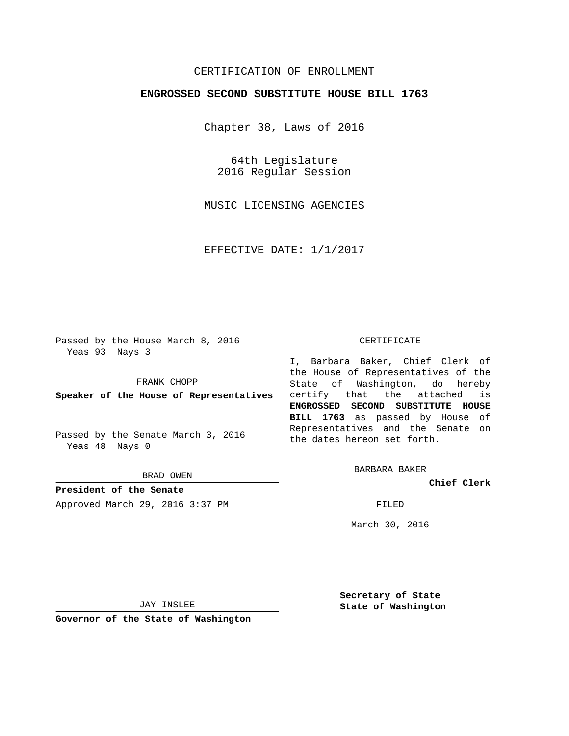## CERTIFICATION OF ENROLLMENT

## **ENGROSSED SECOND SUBSTITUTE HOUSE BILL 1763**

Chapter 38, Laws of 2016

64th Legislature 2016 Regular Session

MUSIC LICENSING AGENCIES

EFFECTIVE DATE: 1/1/2017

Passed by the House March 8, 2016 Yeas 93 Nays 3

FRANK CHOPP

**Speaker of the House of Representatives**

Passed by the Senate March 3, 2016 Yeas 48 Nays 0

BRAD OWEN

**President of the Senate** Approved March 29, 2016 3:37 PM FILED

#### CERTIFICATE

I, Barbara Baker, Chief Clerk of the House of Representatives of the State of Washington, do hereby certify that the attached is **ENGROSSED SECOND SUBSTITUTE HOUSE BILL 1763** as passed by House of Representatives and the Senate on the dates hereon set forth.

BARBARA BAKER

**Chief Clerk**

March 30, 2016

JAY INSLEE

**Governor of the State of Washington**

**Secretary of State State of Washington**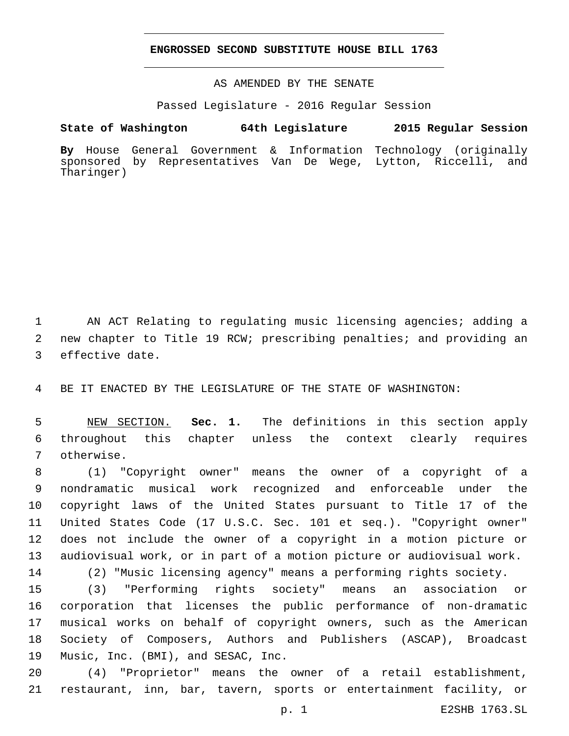## **ENGROSSED SECOND SUBSTITUTE HOUSE BILL 1763**

AS AMENDED BY THE SENATE

Passed Legislature - 2016 Regular Session

# **State of Washington 64th Legislature 2015 Regular Session**

**By** House General Government & Information Technology (originally sponsored by Representatives Van De Wege, Lytton, Riccelli, and Tharinger)

 AN ACT Relating to regulating music licensing agencies; adding a new chapter to Title 19 RCW; prescribing penalties; and providing an 3 effective date.

BE IT ENACTED BY THE LEGISLATURE OF THE STATE OF WASHINGTON:

 NEW SECTION. **Sec. 1.** The definitions in this section apply throughout this chapter unless the context clearly requires otherwise.

 (1) "Copyright owner" means the owner of a copyright of a nondramatic musical work recognized and enforceable under the copyright laws of the United States pursuant to Title 17 of the United States Code (17 U.S.C. Sec. 101 et seq.). "Copyright owner" does not include the owner of a copyright in a motion picture or audiovisual work, or in part of a motion picture or audiovisual work.

(2) "Music licensing agency" means a performing rights society.

 (3) "Performing rights society" means an association or corporation that licenses the public performance of non-dramatic musical works on behalf of copyright owners, such as the American Society of Composers, Authors and Publishers (ASCAP), Broadcast 19 Music, Inc. (BMI), and SESAC, Inc.

 (4) "Proprietor" means the owner of a retail establishment, restaurant, inn, bar, tavern, sports or entertainment facility, or

p. 1 E2SHB 1763.SL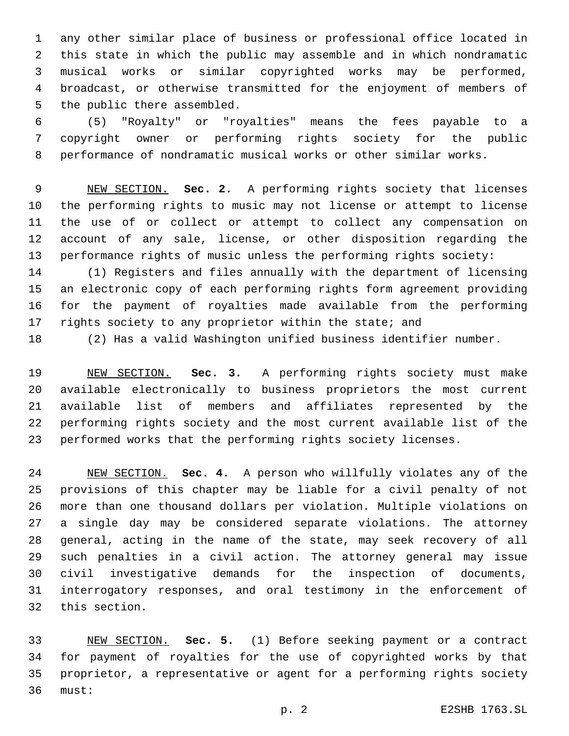any other similar place of business or professional office located in this state in which the public may assemble and in which nondramatic musical works or similar copyrighted works may be performed, broadcast, or otherwise transmitted for the enjoyment of members of 5 the public there assembled.

 (5) "Royalty" or "royalties" means the fees payable to a copyright owner or performing rights society for the public performance of nondramatic musical works or other similar works.

 NEW SECTION. **Sec. 2.** A performing rights society that licenses the performing rights to music may not license or attempt to license the use of or collect or attempt to collect any compensation on account of any sale, license, or other disposition regarding the performance rights of music unless the performing rights society:

 (1) Registers and files annually with the department of licensing an electronic copy of each performing rights form agreement providing for the payment of royalties made available from the performing 17 rights society to any proprietor within the state; and

(2) Has a valid Washington unified business identifier number.

 NEW SECTION. **Sec. 3.** A performing rights society must make available electronically to business proprietors the most current available list of members and affiliates represented by the performing rights society and the most current available list of the performed works that the performing rights society licenses.

 NEW SECTION. **Sec. 4.** A person who willfully violates any of the provisions of this chapter may be liable for a civil penalty of not more than one thousand dollars per violation. Multiple violations on a single day may be considered separate violations. The attorney general, acting in the name of the state, may seek recovery of all such penalties in a civil action. The attorney general may issue civil investigative demands for the inspection of documents, interrogatory responses, and oral testimony in the enforcement of 32 this section.

 NEW SECTION. **Sec. 5.** (1) Before seeking payment or a contract for payment of royalties for the use of copyrighted works by that proprietor, a representative or agent for a performing rights society must: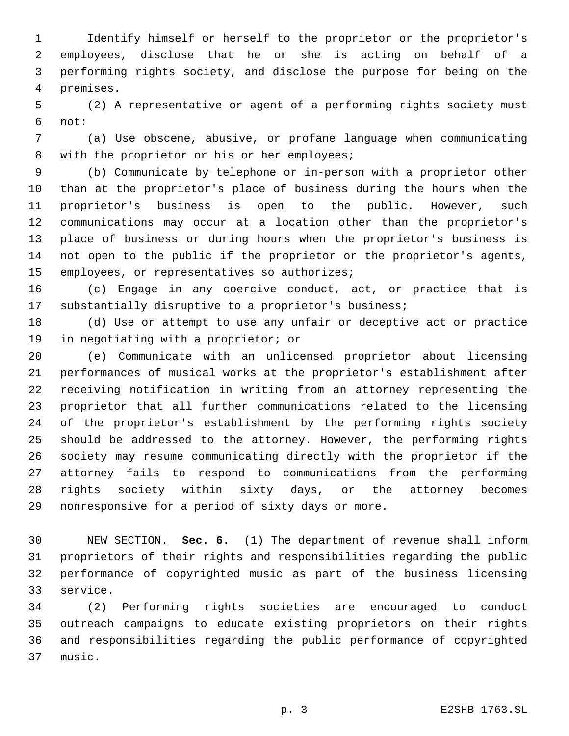Identify himself or herself to the proprietor or the proprietor's employees, disclose that he or she is acting on behalf of a performing rights society, and disclose the purpose for being on the premises.4

 (2) A representative or agent of a performing rights society must not:6

 (a) Use obscene, abusive, or profane language when communicating 8 with the proprietor or his or her employees;

 (b) Communicate by telephone or in-person with a proprietor other than at the proprietor's place of business during the hours when the proprietor's business is open to the public. However, such communications may occur at a location other than the proprietor's place of business or during hours when the proprietor's business is not open to the public if the proprietor or the proprietor's agents, 15 employees, or representatives so authorizes;

 (c) Engage in any coercive conduct, act, or practice that is substantially disruptive to a proprietor's business;

 (d) Use or attempt to use any unfair or deceptive act or practice 19 in negotiating with a proprietor; or

 (e) Communicate with an unlicensed proprietor about licensing performances of musical works at the proprietor's establishment after receiving notification in writing from an attorney representing the proprietor that all further communications related to the licensing of the proprietor's establishment by the performing rights society should be addressed to the attorney. However, the performing rights society may resume communicating directly with the proprietor if the attorney fails to respond to communications from the performing rights society within sixty days, or the attorney becomes 29 nonresponsive for a period of sixty days or more.

 NEW SECTION. **Sec. 6.** (1) The department of revenue shall inform proprietors of their rights and responsibilities regarding the public performance of copyrighted music as part of the business licensing service.

 (2) Performing rights societies are encouraged to conduct outreach campaigns to educate existing proprietors on their rights and responsibilities regarding the public performance of copyrighted 37 music.